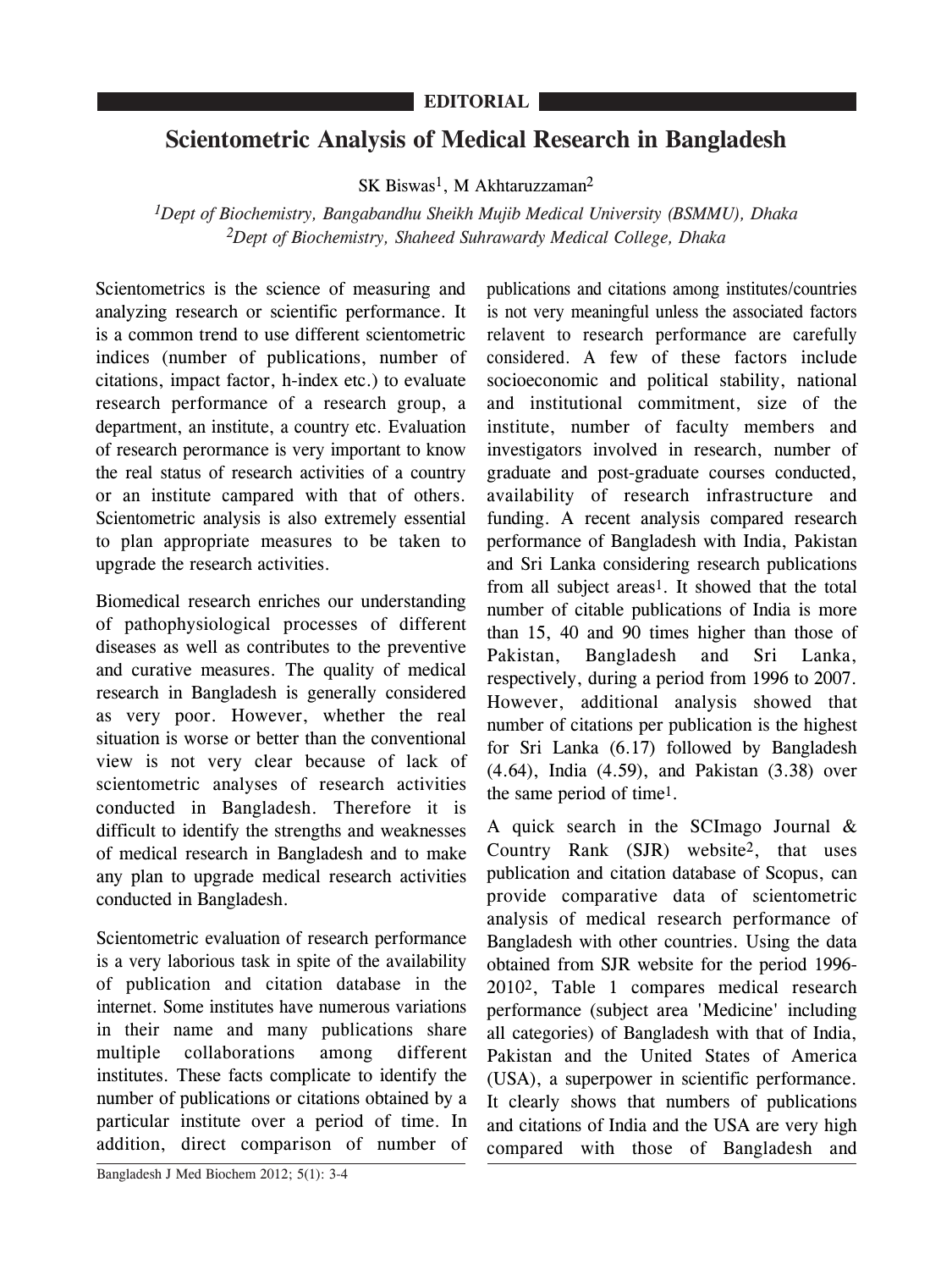## **Scientometric Analysis of Medical Research in Bangladesh**

SK Biswas<sup>1</sup>, M Akhtaruzzaman<sup>2</sup>

*1Dept of Biochemistry, Bangabandhu Sheikh Mujib Medical University (BSMMU), Dhaka 2Dept of Biochemistry, Shaheed Suhrawardy Medical College, Dhaka*

Scientometrics is the science of measuring and analyzing research or scientific performance. It is a common trend to use different scientometric indices (number of publications, number of citations, impact factor, h-index etc.) to evaluate research performance of a research group, a department, an institute, a country etc. Evaluation of research perormance is very important to know the real status of research activities of a country or an institute campared with that of others. Scientometric analysis is also extremely essential to plan appropriate measures to be taken to upgrade the research activities.

Biomedical research enriches our understanding of pathophysiological processes of different diseases as well as contributes to the preventive and curative measures. The quality of medical research in Bangladesh is generally considered as very poor. However, whether the real situation is worse or better than the conventional view is not very clear because of lack of scientometric analyses of research activities conducted in Bangladesh. Therefore it is difficult to identify the strengths and weaknesses of medical research in Bangladesh and to make any plan to upgrade medical research activities conducted in Bangladesh.

Scientometric evaluation of research performance is a very laborious task in spite of the availability of publication and citation database in the internet. Some institutes have numerous variations in their name and many publications share multiple collaborations among different institutes. These facts complicate to identify the number of publications or citations obtained by a particular institute over a period of time. In addition, direct comparison of number of

Bangladesh J Med Biochem 2012; 5(1): 3-4

publications and citations among institutes/countries is not very meaningful unless the associated factors relavent to research performance are carefully considered. A few of these factors include socioeconomic and political stability, national and institutional commitment, size of the institute, number of faculty members and investigators involved in research, number of graduate and post-graduate courses conducted, availability of research infrastructure and funding. A recent analysis compared research performance of Bangladesh with India, Pakistan and Sri Lanka considering research publications from all subject areas<sup>1</sup>. It showed that the total number of citable publications of India is more than 15, 40 and 90 times higher than those of Pakistan, Bangladesh and Sri Lanka, respectively, during a period from 1996 to 2007. However, additional analysis showed that number of citations per publication is the highest for Sri Lanka (6.17) followed by Bangladesh (4.64), India (4.59), and Pakistan (3.38) over the same period of time1.

A quick search in the SCImago Journal & Country Rank (SJR) website2, that uses publication and citation database of Scopus, can provide comparative data of scientometric analysis of medical research performance of Bangladesh with other countries. Using the data obtained from SJR website for the period 1996- 20102, Table 1 compares medical research performance (subject area 'Medicine' including all categories) of Bangladesh with that of India, Pakistan and the United States of America (USA), a superpower in scientific performance. It clearly shows that numbers of publications and citations of India and the USA are very high compared with those of Bangladesh and